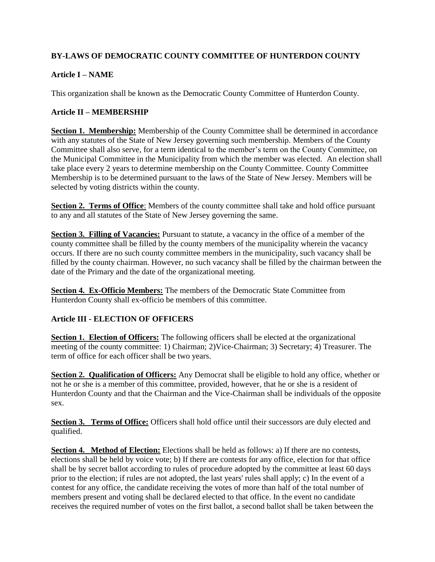## **BY-LAWS OF DEMOCRATIC COUNTY COMMITTEE OF HUNTERDON COUNTY**

## **Article I – NAME**

This organization shall be known as the Democratic County Committee of Hunterdon County.

# **Article II – MEMBERSHIP**

**Section 1. Membership:** Membership of the County Committee shall be determined in accordance with any statutes of the State of New Jersey governing such membership. Members of the County Committee shall also serve, for a term identical to the member's term on the County Committee, on the Municipal Committee in the Municipality from which the member was elected. An election shall take place every 2 years to determine membership on the County Committee. County Committee Membership is to be determined pursuant to the laws of the State of New Jersey. Members will be selected by voting districts within the county.

**Section 2. Terms of Office:** Members of the county committee shall take and hold office pursuant to any and all statutes of the State of New Jersey governing the same.

**Section 3. Filling of Vacancies:** Pursuant to statute, a vacancy in the office of a member of the county committee shall be filled by the county members of the municipality wherein the vacancy occurs. If there are no such county committee members in the municipality, such vacancy shall be filled by the county chairman. However, no such vacancy shall be filled by the chairman between the date of the Primary and the date of the organizational meeting.

**Section 4. Ex-Officio Members:** The members of the Democratic State Committee from Hunterdon County shall ex-officio be members of this committee.

## **Article III - ELECTION OF OFFICERS**

**<u>Section 1. Election of Officers:</u>** The following officers shall be elected at the organizational meeting of the county committee: 1) Chairman; 2)Vice-Chairman; 3) Secretary; 4) Treasurer. The term of office for each officer shall be two years.

**Section 2. Qualification of Officers:** Any Democrat shall be eligible to hold any office, whether or not he or she is a member of this committee, provided, however, that he or she is a resident of Hunterdon County and that the Chairman and the Vice-Chairman shall be individuals of the opposite sex.

**Section 3. Terms of Office:** Officers shall hold office until their successors are duly elected and qualified.

**Section 4. Method of Election:** Elections shall be held as follows: a) If there are no contests, elections shall be held by voice vote; b) If there are contests for any office, election for that office shall be by secret ballot according to rules of procedure adopted by the committee at least 60 days prior to the election; if rules are not adopted, the last years' rules shall apply; c) In the event of a contest for any office, the candidate receiving the votes of more than half of the total number of members present and voting shall be declared elected to that office. In the event no candidate receives the required number of votes on the first ballot, a second ballot shall be taken between the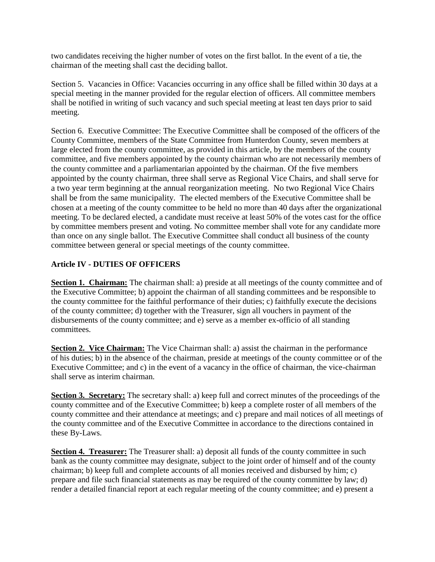two candidates receiving the higher number of votes on the first ballot. In the event of a tie, the chairman of the meeting shall cast the deciding ballot.

Section 5. Vacancies in Office: Vacancies occurring in any office shall be filled within 30 days at a special meeting in the manner provided for the regular election of officers. All committee members shall be notified in writing of such vacancy and such special meeting at least ten days prior to said meeting.

Section 6. Executive Committee: The Executive Committee shall be composed of the officers of the County Committee, members of the State Committee from Hunterdon County, seven members at large elected from the county committee, as provided in this article, by the members of the county committee, and five members appointed by the county chairman who are not necessarily members of the county committee and a parliamentarian appointed by the chairman. Of the five members appointed by the county chairman, three shall serve as Regional Vice Chairs, and shall serve for a two year term beginning at the annual reorganization meeting. No two Regional Vice Chairs shall be from the same municipality. The elected members of the Executive Committee shall be chosen at a meeting of the county committee to be held no more than 40 days after the organizational meeting. To be declared elected, a candidate must receive at least 50% of the votes cast for the office by committee members present and voting. No committee member shall vote for any candidate more than once on any single ballot. The Executive Committee shall conduct all business of the county committee between general or special meetings of the county committee.

### **Article IV - DUTIES OF OFFICERS**

**Section 1. Chairman:** The chairman shall: a) preside at all meetings of the county committee and of the Executive Committee; b) appoint the chairman of all standing committees and be responsible to the county committee for the faithful performance of their duties; c) faithfully execute the decisions of the county committee; d) together with the Treasurer, sign all vouchers in payment of the disbursements of the county committee; and e) serve as a member ex-officio of all standing committees.

**Section 2. Vice Chairman:** The Vice Chairman shall: a) assist the chairman in the performance of his duties; b) in the absence of the chairman, preside at meetings of the county committee or of the Executive Committee; and c) in the event of a vacancy in the office of chairman, the vice-chairman shall serve as interim chairman.

**Section 3. Secretary:** The secretary shall: a) keep full and correct minutes of the proceedings of the county committee and of the Executive Committee; b) keep a complete roster of all members of the county committee and their attendance at meetings; and c) prepare and mail notices of all meetings of the county committee and of the Executive Committee in accordance to the directions contained in these By-Laws.

**Section 4. Treasurer:** The Treasurer shall: a) deposit all funds of the county committee in such bank as the county committee may designate, subject to the joint order of himself and of the county chairman; b) keep full and complete accounts of all monies received and disbursed by him; c) prepare and file such financial statements as may be required of the county committee by law; d) render a detailed financial report at each regular meeting of the county committee; and e) present a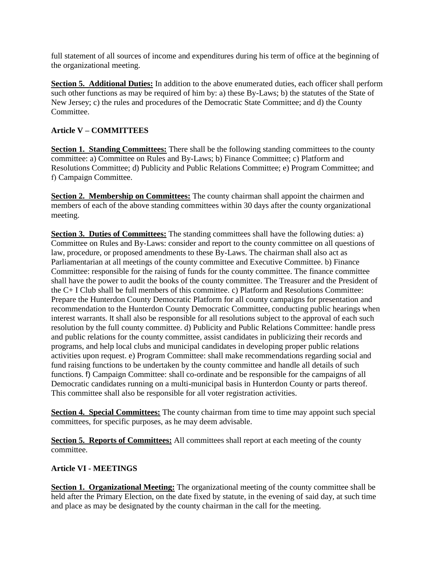full statement of all sources of income and expenditures during his term of office at the beginning of the organizational meeting.

**Section 5. Additional Duties:** In addition to the above enumerated duties, each officer shall perform such other functions as may be required of him by: a) these By-Laws; b) the statutes of the State of New Jersey; c) the rules and procedures of the Democratic State Committee; and d) the County Committee.

# **Article V – COMMITTEES**

**Section 1. Standing Committees:** There shall be the following standing committees to the county committee: a) Committee on Rules and By-Laws; b) Finance Committee; c) Platform and Resolutions Committee; d) Publicity and Public Relations Committee; e) Program Committee; and f) Campaign Committee.

**Section 2. Membership on Committees:** The county chairman shall appoint the chairmen and members of each of the above standing committees within 30 days after the county organizational meeting.

**Section 3. Duties of Committees:** The standing committees shall have the following duties: a) Committee on Rules and By-Laws: consider and report to the county committee on all questions of law, procedure, or proposed amendments to these By-Laws. The chairman shall also act as Parliamentarian at all meetings of the county committee and Executive Committee. b) Finance Committee: responsible for the raising of funds for the county committee. The finance committee shall have the power to audit the books of the county committee. The Treasurer and the President of the C+ I Club shall be full members of this committee. c) Platform and Resolutions Committee: Prepare the Hunterdon County Democratic Platform for all county campaigns for presentation and recommendation to the Hunterdon County Democratic Committee, conducting public hearings when interest warrants. It shall also be responsible for all resolutions subject to the approval of each such resolution by the full county committee. d) Publicity and Public Relations Committee: handle press and public relations for the county committee, assist candidates in publicizing their records and programs, and help local clubs and municipal candidates in developing proper public relations activities upon request. e) Program Committee: shall make recommendations regarding social and fund raising functions to be undertaken by the county committee and handle all details of such functions. f) Campaign Committee: shall co-ordinate and be responsible for the campaigns of all Democratic candidates running on a multi-municipal basis in Hunterdon County or parts thereof. This committee shall also be responsible for all voter registration activities.

**Section 4. Special Committees:** The county chairman from time to time may appoint such special committees, for specific purposes, as he may deem advisable.

**Section 5. Reports of Committees:** All committees shall report at each meeting of the county committee.

## **Article VI - MEETINGS**

**Section 1. Organizational Meeting:** The organizational meeting of the county committee shall be held after the Primary Election, on the date fixed by statute, in the evening of said day, at such time and place as may be designated by the county chairman in the call for the meeting.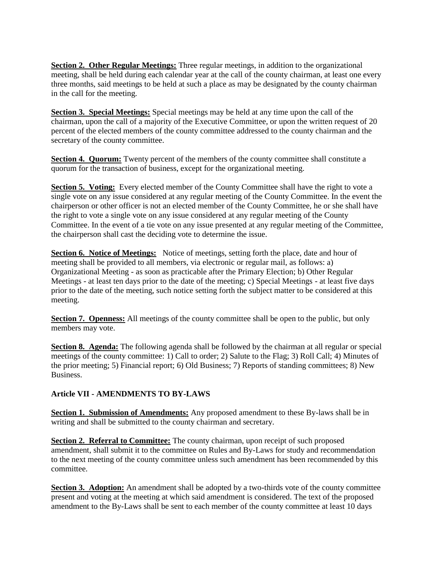**Section 2. Other Regular Meetings:** Three regular meetings, in addition to the organizational meeting, shall be held during each calendar year at the call of the county chairman, at least one every three months, said meetings to be held at such a place as may be designated by the county chairman in the call for the meeting.

**Section 3. Special Meetings:** Special meetings may be held at any time upon the call of the chairman, upon the call of a majority of the Executive Committee, or upon the written request of 20 percent of the elected members of the county committee addressed to the county chairman and the secretary of the county committee.

**Section 4. Quorum:** Twenty percent of the members of the county committee shall constitute a quorum for the transaction of business, except for the organizational meeting.

**Section 5. Voting:** Every elected member of the County Committee shall have the right to vote a single vote on any issue considered at any regular meeting of the County Committee. In the event the chairperson or other officer is not an elected member of the County Committee, he or she shall have the right to vote a single vote on any issue considered at any regular meeting of the County Committee. In the event of a tie vote on any issue presented at any regular meeting of the Committee, the chairperson shall cast the deciding vote to determine the issue.

**Section 6. Notice of Meetings:** Notice of meetings, setting forth the place, date and hour of meeting shall be provided to all members, via electronic or regular mail, as follows: a) Organizational Meeting - as soon as practicable after the Primary Election; b) Other Regular Meetings - at least ten days prior to the date of the meeting; c) Special Meetings - at least five days prior to the date of the meeting, such notice setting forth the subject matter to be considered at this meeting.

**Section 7. Openness:** All meetings of the county committee shall be open to the public, but only members may vote.

**Section 8. Agenda:** The following agenda shall be followed by the chairman at all regular or special meetings of the county committee: 1) Call to order; 2) Salute to the Flag; 3) Roll Call; 4) Minutes of the prior meeting; 5) Financial report; 6) Old Business; 7) Reports of standing committees; 8) New Business.

#### **Article VII - AMENDMENTS TO BY-LAWS**

**Section 1. Submission of Amendments:** Any proposed amendment to these By-laws shall be in writing and shall be submitted to the county chairman and secretary.

**Section 2. Referral to Committee:** The county chairman, upon receipt of such proposed amendment, shall submit it to the committee on Rules and By-Laws for study and recommendation to the next meeting of the county committee unless such amendment has been recommended by this committee.

**Section 3. Adoption:** An amendment shall be adopted by a two-thirds vote of the county committee present and voting at the meeting at which said amendment is considered. The text of the proposed amendment to the By-Laws shall be sent to each member of the county committee at least 10 days